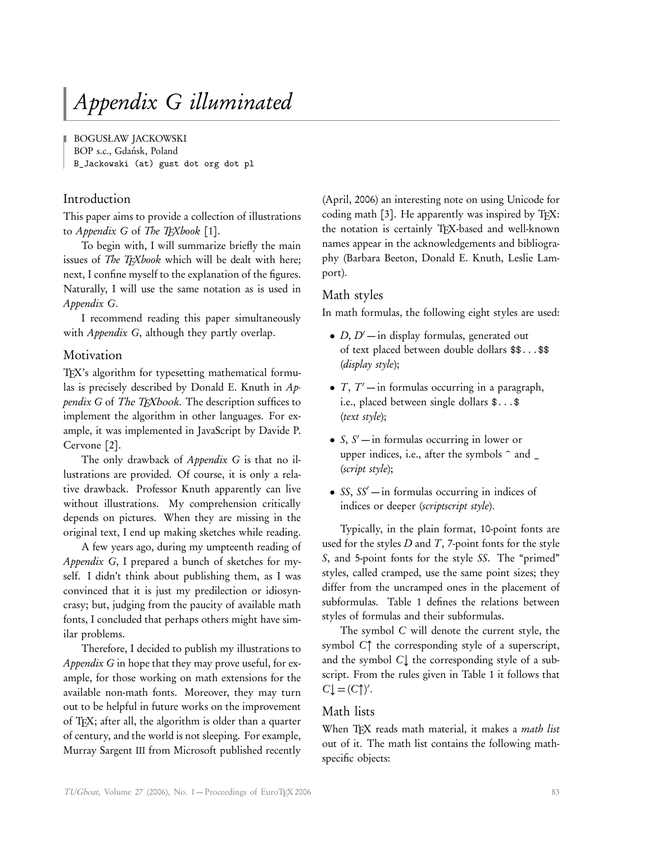# Appendix G illuminated

BOGUSŁAW JACKOWSKI

BOP s.c., Gdańsk, Poland

B\_Jackowski (at) gust dot org dot pl

# Introduction

This paper aims to provide a collection of illustrations to Appendix G of The TEXbook [1].

To begin with, I will summarize briefly the main issues of *The T<sub>E</sub>Xbook* which will be dealt with here; next, I confine myself to the explanation of the figures. Naturally, I will use the same notation as is used in Appendix G.

I recommend reading this paper simultaneously with *Appendix G*, although they partly overlap.

# Motivation

T<sub>EX</sub>'s algorithm for typesetting mathematical formulas is precisely described by Donald E. Knuth in Appendix G of The TEXbook. The description suffices to implement the algorithm in other languages. For example, it was implemented in JavaScript by Davide P. Cervone [2].

The only drawback of *Appendix G* is that no illustrations are provided. Of course, it is only a relative drawback. Professor Knuth apparently can live without illustrations. My comprehension critically depends on pictures. When they are missing in the original text, I end up making sketches while reading.

A few years ago, during my umpteenth reading of Appendix G, I prepared a bunch of sketches for myself. I didn't think about publishing them, as I was convinced that it is just my predilection or idiosyncrasy; but, judging from the paucity of available math fonts, I concluded that perhaps others might have similar problems.

Therefore, I decided to publish my illustrations to Appendix G in hope that they may prove useful, for example, for those working on math extensions for the available non-math fonts. Moreover, they may turn out to be helpful in future works on the improvement of TEX; after all, the algorithm is older than a quarter of century, and the world is not sleeping. For example, Murray Sargent III from Microsoft published recently (April, 2006) an interesting note on using Unicode for coding math  $[3]$ . He apparently was inspired by T<sub>F</sub>X: the notation is certainly TFX-based and well-known names appear in the acknowledgements and bibliography (Barbara Beeton, Donald E. Knuth, Leslie Lamport).

# Math styles

In math formulas, the following eight styles are used:

- *D*, *D'* in display formulas, generated out of text placed between double dollars \$\$...\$\$ (display style);
- $T, T'$  in formulas occurring in a paragraph, i.e., placed between single dollars \$...\$ (text style);
- $S, S'$  in formulas occurring in lower or upper indices, i.e., after the symbols  $\hat{\ }$  and  $\hat{\ }$ (script style);
- SS,  $SS'$  in formulas occurring in indices of indices or deeper (scriptscript style).

Typically, in the plain format, 10-point fonts are used for the styles  $D$  and  $T$ , 7-point fonts for the style S, and 5-point fonts for the style SS. The "primed" styles, called cramped, use the same point sizes; they differ from the uncramped ones in the placement of subformulas. Table 1 defines the relations between styles of formulas and their subformulas.

The symbol C will denote the current style, the symbol C↑ the corresponding style of a superscript, and the symbol C↓ the corresponding style of a subscript. From the rules given in Table 1 it follows that  $C\downarrow = (C\uparrow)'$ .

# Math lists

When TEX reads math material, it makes a math list out of it. The math list contains the following mathspecific objects: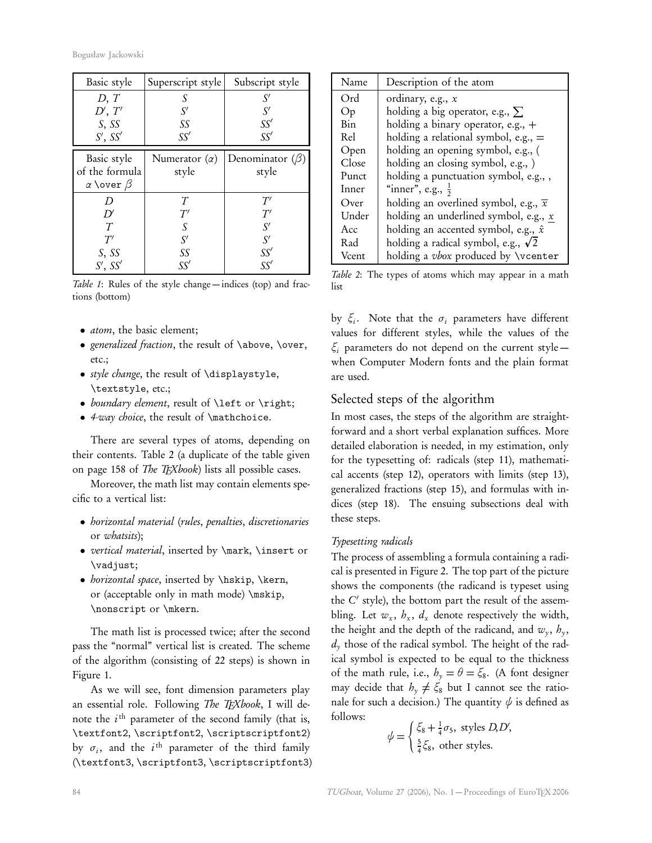| Basic style                              | Superscript style    | Subscript style       |
|------------------------------------------|----------------------|-----------------------|
| D, T                                     | S                    | S'                    |
| D', T'                                   | S'                   | $S^{\prime}$          |
| S, SS                                    | SS                   | SS'                   |
| $S'$ , $SS'$                             | SS'                  | SS'                   |
| Basic style                              | Numerator $(\alpha)$ | Denominator $(\beta)$ |
| of the formula<br>$\alpha$ \over $\beta$ | style                | style                 |
| D                                        | T                    | T'                    |
| D'                                       | T'                   | T'                    |
| $\tau$                                   | S                    | S'                    |
| T'                                       | S'                   | $S^{\prime}$          |
| S, SS                                    | SS                   | SS′                   |
| $S'$ , $SS'$                             | SS'                  | SS′                   |

Table 1: Rules of the style change — indices (top) and fractions (bottom)

- *atom*, the basic element;
- generalized fraction, the result of \above, \over, etc.;
- style change, the result of \displaystyle, \textstyle, etc.;
- boundary element, result of \left or \right;
- 4-way choice, the result of \mathchoice.

There are several types of atoms, depending on their contents. Table 2 (a duplicate of the table given on page 158 of *The TEXbook*) lists all possible cases.

Moreover, the math list may contain elements specific to a vertical list:

- *horizontal material (rules, penalties, discretionaries* or whatsits);
- vertical material, inserted by **\mark**, **\insert** or \vadjust;
- horizontal space, inserted by \hskip, \kern, or (acceptable only in math mode) \mskip, \nonscript or \mkern.

The math list is processed twice; after the second pass the "normal" vertical list is created. The scheme of the algorithm (consisting of 22 steps) is shown in Figure 1.

As we will see, font dimension parameters play an essential role. Following The TFXbook, I will denote the  $i^{\text{th}}$  parameter of the second family (that is, \textfont2, \scriptfont2, \scriptscriptfont2) by  $\sigma_i$ , and the  $i^{\text{th}}$  parameter of the third family (\textfont3, \scriptfont3, \scriptscriptfont3)

| Name       | Description of the atom                           |  |
|------------|---------------------------------------------------|--|
| Ord        | ordinary, e.g., $x$                               |  |
| Op         | holding a big operator, e.g., $\Sigma$            |  |
| <b>Bin</b> | holding a binary operator, e.g., $+$              |  |
| Rel        | holding a relational symbol, e.g., $=$            |  |
| Open       | holding an opening symbol, e.g., (                |  |
| Close      | holding an closing symbol, e.g., )                |  |
| Punct      | holding a punctuation symbol, e.g.,,              |  |
| Inner      | "inner", e.g., $\frac{1}{2}$                      |  |
| Over       | holding an overlined symbol, e.g., $\overline{x}$ |  |
| Under      | holding an underlined symbol, e.g., $x$           |  |
| Acc        | holding an accented symbol, e.g., $\hat{x}$       |  |
| Rad        | holding a radical symbol, e.g., $\sqrt{2}$        |  |
| Vcent      | holding a vbox produced by \vcenter               |  |

Table 2: The types of atoms which may appear in a math list

by  $\xi_i$ . Note that the  $\sigma_i$  parameters have different values for different styles, while the values of the *ξ*<sup>i</sup> parameters do not depend on the current style when Computer Modern fonts and the plain format are used.

## Selected steps of the algorithm

In most cases, the steps of the algorithm are straightforward and a short verbal explanation suffices. More detailed elaboration is needed, in my estimation, only for the typesetting of: radicals (step 11), mathematical accents (step 12), operators with limits (step 13), generalized fractions (step 15), and formulas with indices (step 18). The ensuing subsections deal with these steps.

#### Typesetting radicals

The process of assembling a formula containing a radical is presented in Figure 2. The top part of the picture shows the components (the radicand is typeset using the C' style), the bottom part the result of the assembling. Let  $w_x$ ,  $h_x$ ,  $d_x$  denote respectively the width, the height and the depth of the radicand, and  $w_y$ ,  $h_y$ ,  $d_{y}$  those of the radical symbol. The height of the radical symbol is expected to be equal to the thickness of the math rule, i.e.,  $h_y = \theta = \xi_8$ . (A font designer may decide that  $h_y \neq \xi_8$  but I cannot see the rationale for such a decision.) The quantity  $\psi$  is defined as follows: ,

$$
\psi = \begin{cases} \xi_8 + \frac{1}{4}\sigma_5, \text{ styles } D, D' \\ \frac{5}{4}\xi_8, \text{ other styles.} \end{cases}
$$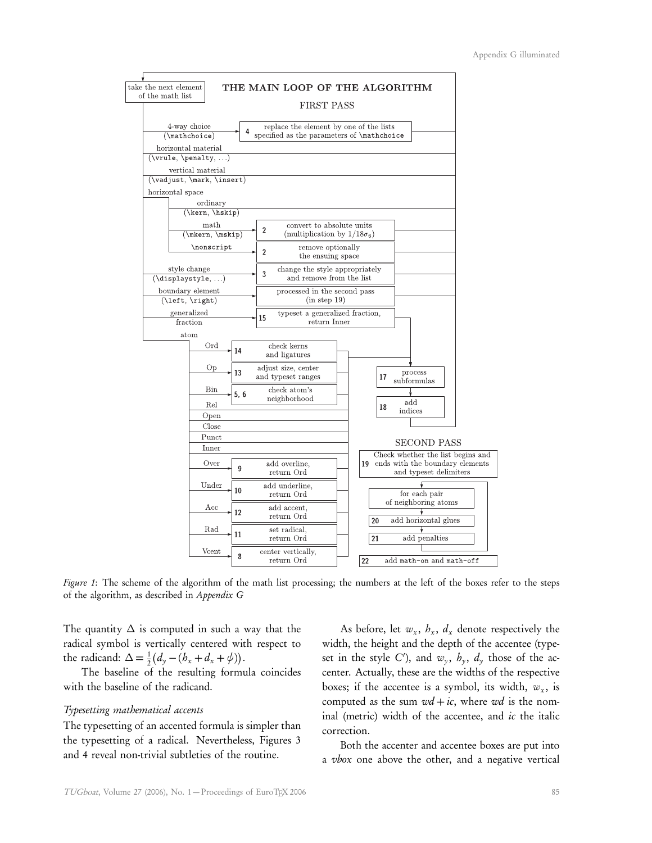

Figure 1: The scheme of the algorithm of the math list processing; the numbers at the left of the boxes refer to the steps of the algorithm, as described in Appendix G

The quantity  $\Delta$  is computed in such a way that the radical symbol is vertically centered with respect to the radicand:  $\Delta = \frac{1}{2} (d_y - (b_x + d_x + \psi)).$ 

The baseline of the resulting formula coincides with the baseline of the radicand.

#### Typesetting mathematical accents

The typesetting of an accented formula is simpler than the typesetting of a radical. Nevertheless, Figures 3 and 4 reveal non-trivial subtleties of the routine.

As before, let  $w_x$ ,  $h_x$ ,  $d_x$  denote respectively the width, the height and the depth of the accentee (typeset in the style C'), and  $w_y$ ,  $h_y$ ,  $d_y$  those of the accenter. Actually, these are the widths of the respective boxes; if the accentee is a symbol, its width,  $w_x$ , is computed as the sum  $wd + ic$ , where wd is the nominal (metric) width of the accentee, and ic the italic correction.

Both the accenter and accentee boxes are put into a vbox one above the other, and a negative vertical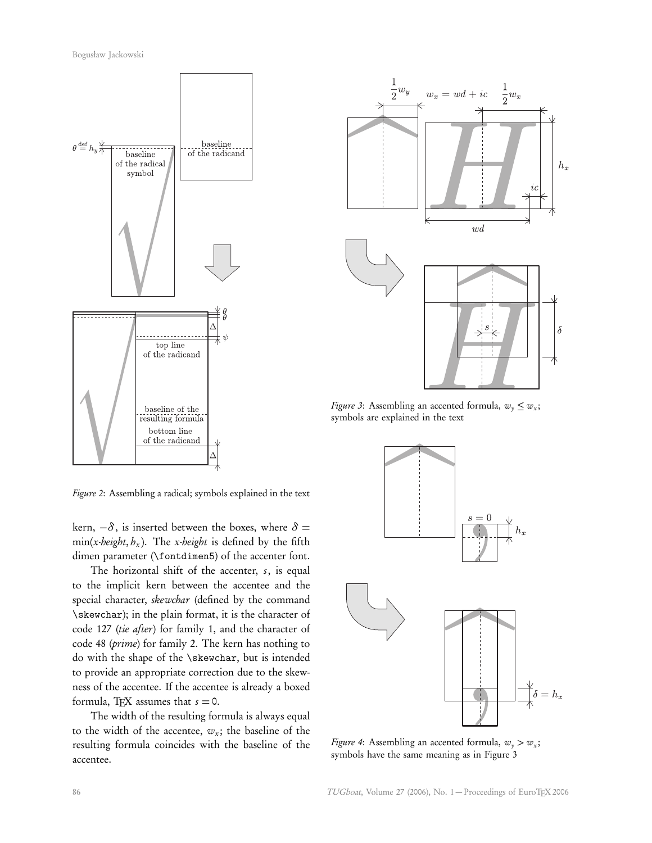

Figure 2: Assembling a radical; symbols explained in the text

kern,  $-\delta$ , is inserted between the boxes, where  $\delta$  =  $min(x \cdot height, h_x)$ . The x-height is defined by the fifth dimen parameter (\fontdimen5) of the accenter font.

The horizontal shift of the accenter, s, is equal to the implicit kern between the accentee and the special character, skewchar (defined by the command \skewchar); in the plain format, it is the character of code 127 (tie after) for family 1, and the character of code 48 (prime) for family 2. The kern has nothing to do with the shape of the \skewchar, but is intended to provide an appropriate correction due to the skewness of the accentee. If the accentee is already a boxed formula, T<sub>F</sub>X assumes that  $s = 0$ .

The width of the resulting formula is always equal to the width of the accentee,  $w_x$ ; the baseline of the resulting formula coincides with the baseline of the accentee.



Figure 3: Assembling an accented formula,  $w_y \leq w_x$ ; symbols are explained in the text



*Figure 4*: Assembling an accented formula,  $w_y > w_x$ ; symbols have the same meaning as in Figure 3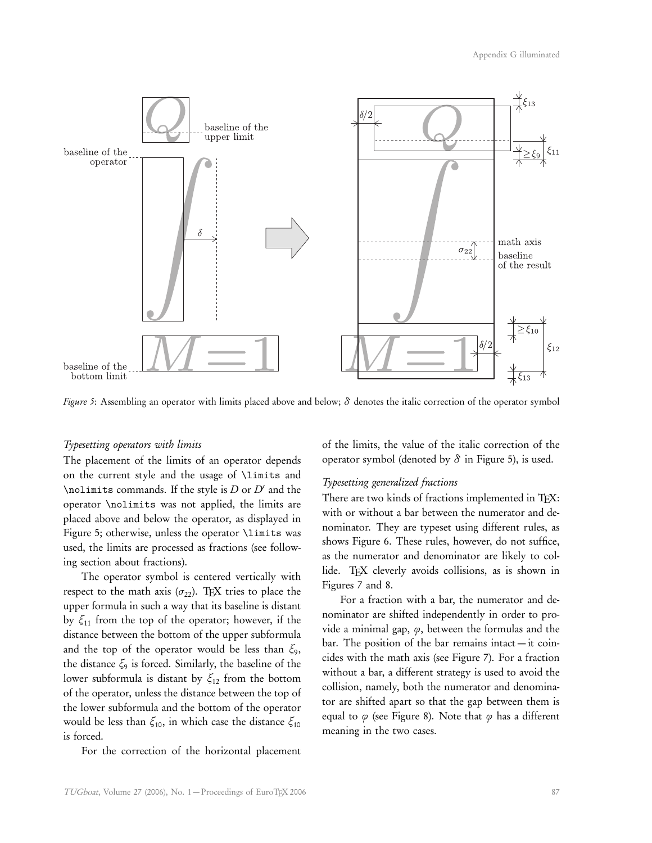

Figure 5: Assembling an operator with limits placed above and below; *δ* denotes the italic correction of the operator symbol

#### Typesetting operators with limits

The placement of the limits of an operator depends on the current style and the usage of \limits and \nolimits commands. If the style is  $D$  or  $D'$  and the operator \nolimits was not applied, the limits are placed above and below the operator, as displayed in Figure 5; otherwise, unless the operator \limits was used, the limits are processed as fractions (see following section about fractions).

The operator symbol is centered vertically with respect to the math axis  $(\sigma_{22})$ . TEX tries to place the upper formula in such a way that its baseline is distant by *ξ*<sup>11</sup> from the top of the operator; however, if the distance between the bottom of the upper subformula and the top of the operator would be less than *ξ*<sup>9</sup> , the distance *ξ*<sup>9</sup> is forced. Similarly, the baseline of the lower subformula is distant by *ξ*<sup>12</sup> from the bottom of the operator, unless the distance between the top of the lower subformula and the bottom of the operator would be less than *ξ*10, in which case the distance *ξ*<sup>10</sup> is forced.

For the correction of the horizontal placement

of the limits, the value of the italic correction of the operator symbol (denoted by  $\delta$  in Figure 5), is used.

#### Typesetting generalized fractions

There are two kinds of fractions implemented in TFX: with or without a bar between the numerator and denominator. They are typeset using different rules, as shows Figure 6. These rules, however, do not suffice, as the numerator and denominator are likely to collide. TEX cleverly avoids collisions, as is shown in Figures 7 and 8.

For a fraction with a bar, the numerator and denominator are shifted independently in order to provide a minimal gap, *ϕ*, between the formulas and the bar. The position of the bar remains intact — it coincides with the math axis (see Figure 7). For a fraction without a bar, a different strategy is used to avoid the collision, namely, both the numerator and denominator are shifted apart so that the gap between them is equal to  $\varphi$  (see Figure 8). Note that  $\varphi$  has a different meaning in the two cases.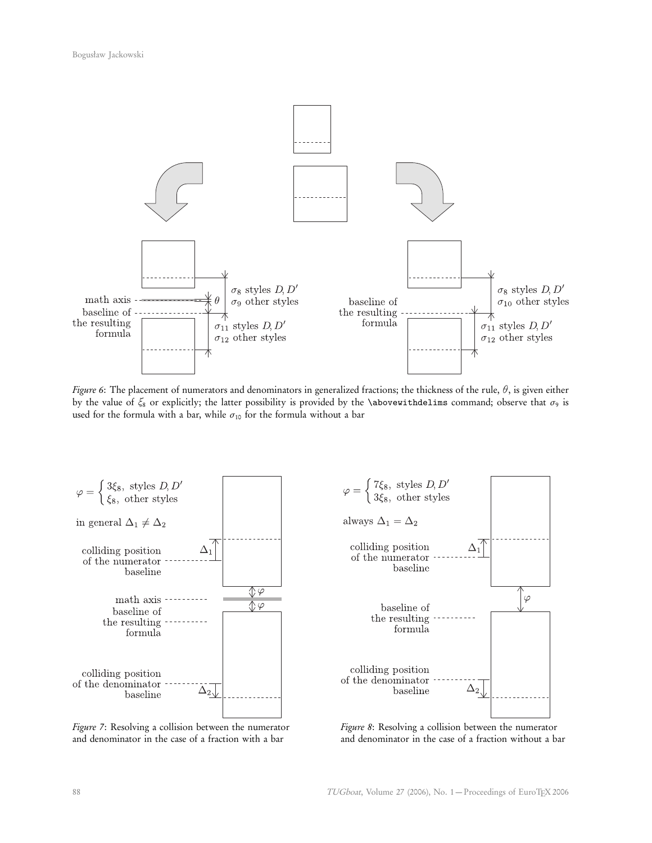

Figure 6: The placement of numerators and denominators in generalized fractions; the thickness of the rule, *θ*, is given either by the value of  $\xi_8$  or explicitly; the latter possibility is provided by the **\abovewithdelims** command; observe that  $\sigma_9$  is used for the formula with a bar, while  $\sigma_{10}$  for the formula without a bar



Figure 7: Resolving a collision between the numerator and denominator in the case of a fraction with a bar



Figure 8: Resolving a collision between the numerator and denominator in the case of a fraction without a bar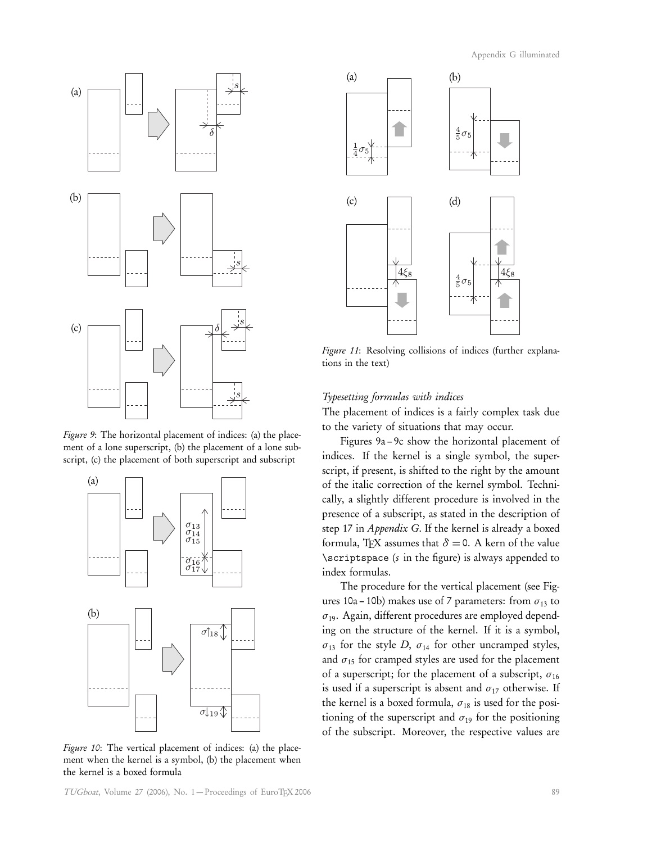Appendix G illuminated



Figure 9: The horizontal placement of indices: (a) the placement of a lone superscript, (b) the placement of a lone subscript, (c) the placement of both superscript and subscript



Figure 10: The vertical placement of indices: (a) the placement when the kernel is a symbol, (b) the placement when the kernel is a boxed formula



Figure 11: Resolving collisions of indices (further explanations in the text)

#### Typesetting formulas with indices

The placement of indices is a fairly complex task due to the variety of situations that may occur.

Figures 9a – 9c show the horizontal placement of indices. If the kernel is a single symbol, the superscript, if present, is shifted to the right by the amount of the italic correction of the kernel symbol. Technically, a slightly different procedure is involved in the presence of a subscript, as stated in the description of step 17 in Appendix G. If the kernel is already a boxed formula, T<sub>E</sub>X assumes that  $\delta = 0$ . A kern of the value \scriptspace (s in the figure) is always appended to index formulas.

The procedure for the vertical placement (see Figures 10a – 10b) makes use of 7 parameters: from *σ*<sup>13</sup> to *σ*19. Again, different procedures are employed depending on the structure of the kernel. If it is a symbol,  $\sigma_{13}$  for the style *D*,  $\sigma_{14}$  for other uncramped styles, and  $\sigma_{15}$  for cramped styles are used for the placement of a superscript; for the placement of a subscript, *σ*<sup>16</sup> is used if a superscript is absent and  $\sigma_{17}$  otherwise. If the kernel is a boxed formula,  $\sigma_{18}$  is used for the positioning of the superscript and  $\sigma_{19}$  for the positioning of the subscript. Moreover, the respective values are